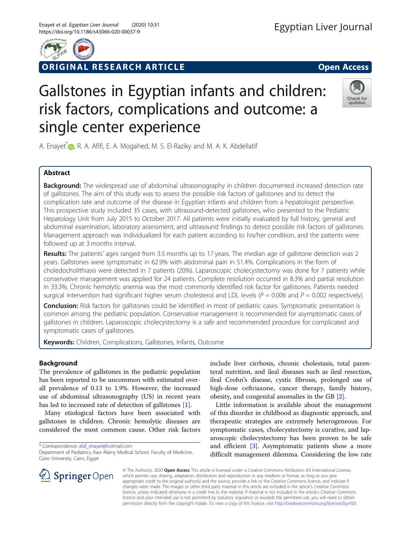

ORIGINAL RESEARCH ARTICLE **Solution Community Community** Open Access



# Gallstones in Egyptian infants and children: risk factors, complications and outcome: a single center experience



A. Enayet[\\*](http://orcid.org/0000-0002-8202-1678)<sup>\*</sup> <sub>(D</sub>, R. A. Afifi, E. A. Mogahed, M. S. El-Raziky and M. A. K. Abdellatif

# Abstract

**Background:** The widespread use of abdominal ultrasonography in children documented increased detection rate of gallstones. The aim of this study was to assess the possible risk factors of gallstones and to detect the complication rate and outcome of the disease in Egyptian infants and children from a hepatologist perspective. This prospective study included 35 cases, with ultrasound-detected gallstones, who presented to the Pediatric Hepatology Unit from July 2015 to October 2017. All patients were initially evaluated by full history, general and abdominal examination, laboratory assessment, and ultrasound findings to detect possible risk factors of gallstones. Management approach was individualized for each patient according to his/her condition, and the patients were followed up at 3 months interval.

Results: The patients' ages ranged from 3.5 months up to 17 years. The median age of gallstone detection was 2 years. Gallstones were symptomatic in 62.9% with abdominal pain in 51.4%. Complications in the form of choledocholithiasis were detected in 7 patients (20%). Laparoscopic cholecystectomy was done for 7 patients while conservative management was applied for 24 patients. Complete resolution occurred in 8.3% and partial resolution in 33.3%. Chronic hemolytic anemia was the most commonly identified risk factor for gallstones. Patients needed surgical intervention had significant higher serum cholesterol and LDL levels ( $P = 0.006$  and  $P = 0.002$  respectively).

**Conclusion:** Risk factors for gallstones could be identified in most of pediatric cases. Symptomatic presentation is common among the pediatric population. Conservative management is recommended for asymptomatic cases of gallstones in children. Laparoscopic cholecystectomy is a safe and recommended procedure for complicated and symptomatic cases of gallstones.

Keywords: Children, Complications, Gallstones, Infants, Outcome

# Background

The prevalence of gallstones in the pediatric population has been reported to be uncommon with estimated overall prevalence of 0.13 to 1.9%. However, the increased use of abdominal ultrasonography (US) in recent years has led to increased rate of detection of gallstones [[1\]](#page-6-0).

Many etiological factors have been associated with gallstones in children. Chronic hemolytic diseases are considered the most common cause. Other risk factors

\* Correspondence: [afaf\\_enayet@hotmail.com](mailto:afaf_enayet@hotmail.com)

include liver cirrhosis, chronic cholestasis, total parenteral nutrition, and ileal diseases such as ileal resection, ileal Crohn's disease, cystic fibrosis, prolonged use of high-dose ceftriaxone, cancer therapy, family history, obesity, and congenital anomalies in the GB [\[2\]](#page-6-0).

Little information is available about the management of this disorder in childhood as diagnostic approach, and therapeutic strategies are extremely heterogeneous. For symptomatic cases, cholecystectomy is curative, and laparoscopic cholecystectomy has been proven to be safe and efficient  $[3]$  $[3]$ . Asymptomatic patients show a more difficult management dilemma. Considering the low rate



© The Author(s). 2020 Open Access This article is licensed under a Creative Commons Attribution 4.0 International License, which permits use, sharing, adaptation, distribution and reproduction in any medium or format, as long as you give appropriate credit to the original author(s) and the source, provide a link to the Creative Commons licence, and indicate if changes were made. The images or other third party material in this article are included in the article's Creative Commons licence, unless indicated otherwise in a credit line to the material. If material is not included in the article's Creative Commons licence and your intended use is not permitted by statutory regulation or exceeds the permitted use, you will need to obtain permission directly from the copyright holder. To view a copy of this licence, visit <http://creativecommons.org/licenses/by/4.0/>.

Department of Pediatrics, Kasr Alainy Medical School, Faculty of Medicine, Cairo University, Cairo, Egypt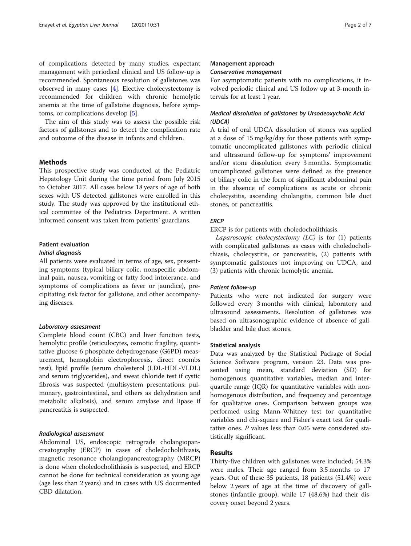of complications detected by many studies, expectant management with periodical clinical and US follow-up is recommended. Spontaneous resolution of gallstones was observed in many cases [\[4](#page-6-0)]. Elective cholecystectomy is recommended for children with chronic hemolytic anemia at the time of gallstone diagnosis, before symptoms, or complications develop [\[5\]](#page-6-0).

The aim of this study was to assess the possible risk factors of gallstones and to detect the complication rate and outcome of the disease in infants and children.

# Methods

This prospective study was conducted at the Pediatric Hepatology Unit during the time period from July 2015 to October 2017. All cases below 18 years of age of both sexes with US detected gallstones were enrolled in this study. The study was approved by the institutional ethical committee of the Pediatrics Department. A written informed consent was taken from patients' guardians.

# Patient evaluation

# Initial diagnosis

All patients were evaluated in terms of age, sex, presenting symptoms (typical biliary colic, nonspecific abdominal pain, nausea, vomiting or fatty food intolerance, and symptoms of complications as fever or jaundice), precipitating risk factor for gallstone, and other accompanying diseases.

## Laboratory assessment

Complete blood count (CBC) and liver function tests, hemolytic profile (reticulocytes, osmotic fragility, quantitative glucose 6 phosphate dehydrogenase (G6PD) measurement, hemoglobin electrophoresis, direct coombs test), lipid profile (serum cholesterol (LDL-HDL-VLDL) and serum triglycerides), and sweat chloride test if cystic fibrosis was suspected (multisystem presentations: pulmonary, gastrointestinal, and others as dehydration and metabolic alkalosis), and serum amylase and lipase if pancreatitis is suspected.

# Radiological assessment

Abdominal US, endoscopic retrograde cholangiopancreatography (ERCP) in cases of choledocholithiasis, magnetic resonance cholangiopancreatography (MRCP) is done when choledocholithiasis is suspected, and ERCP cannot be done for technical consideration as young age (age less than 2 years) and in cases with US documented CBD dilatation.

# Management approach

# Conservative management

For asymptomatic patients with no complications, it involved periodic clinical and US follow up at 3-month intervals for at least 1 year.

# Medical dissolution of gallstones by Ursodeoxycholic Acid (UDCA)

A trial of oral UDCA dissolution of stones was applied at a dose of 15 mg/kg/day for those patients with symptomatic uncomplicated gallstones with periodic clinical and ultrasound follow-up for symptoms' improvement and/or stone dissolution every 3 months. Symptomatic uncomplicated gallstones were defined as the presence of biliary colic in the form of significant abdominal pain in the absence of complications as acute or chronic cholecystitis, ascending cholangitis, common bile duct stones, or pancreatitis.

## **ERCP**

# ERCP is for patients with choledocholithiasis.

Laparoscopic cholecystectomy  $(LC)$  is for  $(1)$  patients with complicated gallstones as cases with choledocholithiasis, cholecystitis, or pancreatitis, (2) patients with symptomatic gallstones not improving on UDCA, and (3) patients with chronic hemolytic anemia.

## Patient follow-up

Patients who were not indicated for surgery were followed every 3 months with clinical, laboratory and ultrasound assessments. Resolution of gallstones was based on ultrasonographic evidence of absence of gallbladder and bile duct stones.

#### Statistical analysis

Data was analyzed by the Statistical Package of Social Science Software program, version 23. Data was presented using mean, standard deviation (SD) for homogenous quantitative variables, median and interquartile range (IQR) for quantitative variables with nonhomogenous distribution, and frequency and percentage for qualitative ones. Comparison between groups was performed using Mann-Whitney test for quantitative variables and chi-square and Fisher's exact test for qualitative ones. P values less than 0.05 were considered statistically significant.

# Results

Thirty-five children with gallstones were included; 54.3% were males. Their age ranged from 3.5 months to 17 years. Out of these 35 patients, 18 patients (51.4%) were below 2 years of age at the time of discovery of gallstones (infantile group), while 17 (48.6%) had their discovery onset beyond 2 years.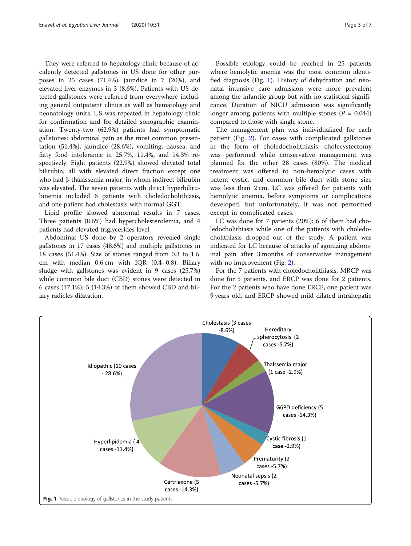They were referred to hepatology clinic because of accidently detected gallstones in US done for other purposes in 25 cases (71.4%), jaundice in 7 (20%), and elevated liver enzymes in 3 (8.6%). Patients with US detected gallstones were referred from everywhere including general outpatient clinics as well as hematology and neonatology units. US was repeated in hepatology clinic for confirmation and for detailed sonographic examination. Twenty-two (62.9%) patients had symptomatic gallstones: abdominal pain as the most common presentation (51.4%), jaundice (28.6%), vomiting, nausea, and fatty food intolerance in 25.7%, 11.4%, and 14.3% respectively. Eight patients (22.9%) showed elevated total bilirubin; all with elevated direct fraction except one who had β-thalassemia major, in whom indirect bilirubin was elevated. The seven patients with direct hyperbilirubinemia included 6 patients with choledocholithiasis, and one patient had cholestasis with normal GGT.

Lipid profile showed abnormal results in 7 cases. Three patients (8.6%) had hypercholesterolemia, and 4 patients had elevated triglycerides level.

Abdominal US done by 2 operators revealed single gallstones in 17 cases (48.6%) and multiple gallstones in 18 cases (51.4%). Size of stones ranged from 0.3 to 1.6 cm with median 0.6 cm with IQR (0.4–0.8). Biliary sludge with gallstones was evident in 9 cases (25.7%) while common bile duct (CBD) stones were detected in 6 cases (17.1%); 5 (14.3%) of them showed CBD and biliary radicles dilatation.

Possible etiology could be reached in 25 patients where hemolytic anemia was the most common identified diagnosis (Fig. 1). History of dehydration and neonatal intensive care admission were more prevalent among the infantile group but with no statistical significance. Duration of NICU admission was significantly longer among patients with multiple stones ( $P = 0.044$ ) compared to those with single stone.

The management plan was individualized for each patient (Fig. [2\)](#page-3-0). For cases with complicated gallstones in the form of choledocholithiasis, cholecystectomy was performed while conservative management was planned for the other 28 cases (80%). The medical treatment was offered to non-hemolytic cases with patent cystic, and common bile duct with stone size was less than 2 cm. LC was offered for patients with hemolytic anemia, before symptoms or complications developed, but unfortunately, it was not performed except in complicated cases.

LC was done for 7 patients (20%): 6 of them had choledocholithiasis while one of the patients with choledocholithiasis dropped out of the study. A patient was indicated for LC because of attacks of agonizing abdominal pain after 3 months of conservative management with no improvement (Fig. [2](#page-3-0)).

For the 7 patients with choledocholithiasis, MRCP was done for 5 patients, and ERCP was done for 2 patients. For the 2 patients who have done ERCP, one patient was 9 years old, and ERCP showed mild dilated intrahepatic

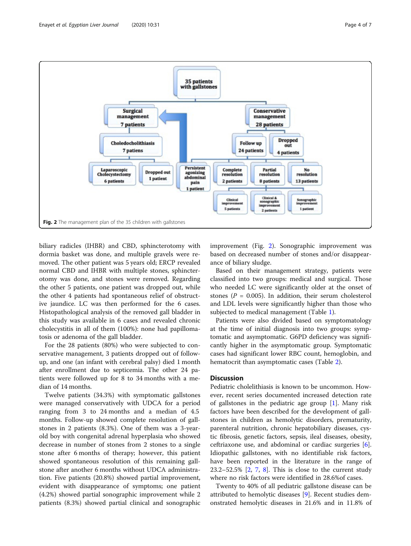<span id="page-3-0"></span>

biliary radicles (IHBR) and CBD, sphincterotomy with dormia basket was done, and multiple gravels were removed. The other patient was 5 years old; ERCP revealed normal CBD and IHBR with multiple stones, sphincterotomy was done, and stones were removed. Regarding the other 5 patients, one patient was dropped out, while the other 4 patients had spontaneous relief of obstructive jaundice. LC was then performed for the 6 cases. Histopathological analysis of the removed gall bladder in this study was available in 6 cases and revealed chronic cholecystitis in all of them (100%): none had papillomatosis or adenoma of the gall bladder.

For the 28 patients (80%) who were subjected to conservative management, 3 patients dropped out of followup, and one (an infant with cerebral palsy) died 1 month after enrollment due to septicemia. The other 24 patients were followed up for 8 to 34 months with a median of 14 months.

Twelve patients (34.3%) with symptomatic gallstones were managed conservatively with UDCA for a period ranging from 3 to 24 months and a median of 4.5 months. Follow-up showed complete resolution of gallstones in 2 patients (8.3%). One of them was a 3-yearold boy with congenital adrenal hyperplasia who showed decrease in number of stones from 2 stones to a single stone after 6 months of therapy; however, this patient showed spontaneous resolution of this remaining gallstone after another 6 months without UDCA administration. Five patients (20.8%) showed partial improvement, evident with disappearance of symptoms; one patient (4.2%) showed partial sonographic improvement while 2 patients (8.3%) showed partial clinical and sonographic

improvement (Fig. 2). Sonographic improvement was based on decreased number of stones and/or disappearance of biliary sludge.

Based on their management strategy, patients were classified into two groups: medical and surgical. Those who needed LC were significantly older at the onset of stones ( $P = 0.005$ ). In addition, their serum cholesterol and LDL levels were significantly higher than those who subjected to medical management (Table [1](#page-4-0)).

Patients were also divided based on symptomatology at the time of initial diagnosis into two groups: symptomatic and asymptomatic. G6PD deficiency was significantly higher in the asymptomatic group. Symptomatic cases had significant lower RBC count, hemoglobin, and hematocrit than asymptomatic cases (Table [2\)](#page-5-0).

# **Discussion**

Pediatric cholelithiasis is known to be uncommon. However, recent series documented increased detection rate of gallstones in the pediatric age group  $[1]$  $[1]$ . Many risk factors have been described for the development of gallstones in children as hemolytic disorders, prematurity, parenteral nutrition, chronic hepatobiliary diseases, cystic fibrosis, genetic factors, sepsis, ileal diseases, obesity, ceftriaxone use, and abdominal or cardiac surgeries  $[6]$  $[6]$ . Idiopathic gallstones, with no identifiable risk factors, have been reported in the literature in the range of 23.2–52.5% [[2,](#page-6-0) [7,](#page-6-0) [8](#page-6-0)]. This is close to the current study where no risk factors were identified in 28.6%of cases.

Twenty to 40% of all pediatric gallstone disease can be attributed to hemolytic diseases [\[9](#page-6-0)]. Recent studies demonstrated hemolytic diseases in 21.6% and in 11.8% of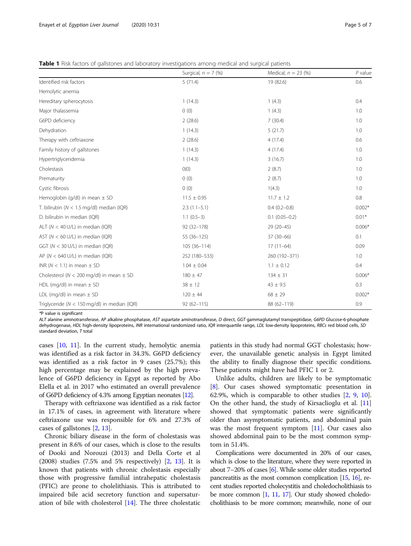<span id="page-4-0"></span>

|  | <b>Table 1</b> Risk factors of gallstones and laboratory investigations among medical and surgical patients |  |  |  |
|--|-------------------------------------------------------------------------------------------------------------|--|--|--|
|  |                                                                                                             |  |  |  |

|                                                 | Surgical, $n = 7$ (%) | Medical, $n = 23$ (%) | $P$ value |
|-------------------------------------------------|-----------------------|-----------------------|-----------|
| Identified risk factors                         | 5(71.4)               | 19 (82.6)             | 0.6       |
| Hemolytic anemia                                |                       |                       |           |
| Hereditary spherocytosis                        | 1(14.3)               | 1(4.3)                | 0.4       |
| Major thalassemia                               | 0(0)                  | 1(4.3)                | 1.0       |
| G6PD deficiency                                 | 2(28.6)               | 7(30.4)               | 1.0       |
| Dehydration                                     | 1(14.3)               | 5(21.7)               | 1.0       |
| Therapy with ceftriaxone                        | 2(28.6)               | 4(17.4)               | 0.6       |
| Family history of gallstones                    | 1(14.3)               | 4(17.4)               | 1.0       |
| Hypertriglyceridemia                            | 1(14.3)               | 3(16.7)               | 1.0       |
| Cholestasis                                     | O(0)                  | 2(8.7)                | 1.0       |
| Prematurity                                     | 0(0)                  | 2(8.7)                | 1.0       |
| Cystic fibrosis                                 | 0(0)                  | 1(4.3)                | 1.0       |
| Hemoglobin (g/dl) in mean $\pm$ SD              | $11.5 \pm 0.95$       | $11.7 \pm 1.2$        | 0.8       |
| T. bilirubin ( $N < 1.5$ mg/dl) median (IQR)    | $2.3(1.1-5.1)$        | $0.4(0.2-0.8)$        | $0.002*$  |
| D. bilirubin in median (IQR)                    | $1.1(0.5-3)$          | $0.1$ $(0.05-0.2)$    | $0.01*$   |
| ALT ( $N < 40$ U/L) in median (IQR)             | $92(32 - 178)$        | $29(20-45)$           | $0.006*$  |
| AST ( $N < 60$ U/L) in median (IQR)             | 55 (36-125)           | $37(30-66)$           | 0.1       |
| GGT (N < 30 U/L) in median (IQR)                | $105(36-114)$         | $17(11-64)$           | 0.09      |
| AP ( $N < 640$ U/L) in median (IQR)             | 252 (180-533)         | 260 (192-371)         | 1.0       |
| INR ( $N < 1.1$ ) in mean $\pm$ SD              | $1.04 \pm 0.04$       | $1.1 \pm 0.12$        | 0.4       |
| Cholesterol ( $N < 200$ mg/dl) in mean $\pm$ SD | $180 \pm 47$          | $134 \pm 31$          | $0.006*$  |
| HDL (mg/dl) in mean $\pm$ SD                    | $38 \pm 12$           | $43 \pm 9.5$          | 0.3       |
| LDL (mg/dl) in mean $\pm$ SD                    | $120 \pm 44$          | $68 \pm 29$           | $0.002*$  |
| Triglyceride ( $N < 150$ mg/dl) in median (IQR) | $92(62 - 115)$        | 88 (62-119)           | 0.9       |

 $*$ P value is significant<br>41.7 alanine aminotra

ALT alanine aminotransferase, AP alkaline phosphatase, AST aspartate aminotransferase, D direct, GGT gammaglutamyl transpeptidase, G6PD Glucose-6-phosphate<br>debydrogenase, HDL bigh-density linoproteins, INR international ra dehydrogenase, HDL high-density lipoproteins, INR international randomized ratio, IQR interquartile range, LDL low-density lipoproteins, RBCs red blood cells, SD standard deviation, T total

cases [\[10](#page-6-0), [11\]](#page-6-0). In the current study, hemolytic anemia was identified as a risk factor in 34.3%. G6PD deficiency was identified as a risk factor in 9 cases (25.7%); this high percentage may be explained by the high prevalence of G6PD deficiency in Egypt as reported by Abo Elella et al. in 2017 who estimated an overall prevalence of G6PD deficiency of 4.3% among Egyptian neonates [\[12\]](#page-6-0).

Therapy with ceftriaxone was identified as a risk factor in 17.1% of cases, in agreement with literature where ceftriaxone use was responsible for 6% and 27.3% of cases of gallstones [\[2](#page-6-0), [13](#page-6-0)].

Chronic biliary disease in the form of cholestasis was present in 8.6% of our cases, which is close to the results of Dooki and Norouzi (2013) and Della Corte et al (2008) studies (7.5% and 5% respectively) [[2](#page-6-0), [13](#page-6-0)]. It is known that patients with chronic cholestasis especially those with progressive familial intrahepatic cholestasis (PFIC) are prone to cholelithiasis. This is attributed to impaired bile acid secretory function and supersaturation of bile with cholesterol [[14\]](#page-6-0). The three cholestatic patients in this study had normal GGT cholestasis; however, the unavailable genetic analysis in Egypt limited the ability to finally diagnose their specific conditions. These patients might have had PFIC 1 or 2.

Unlike adults, children are likely to be symptomatic [[8\]](#page-6-0). Our cases showed symptomatic presentation in 62.9%, which is comparable to other studies [[2,](#page-6-0) [9,](#page-6-0) [10](#page-6-0)]. On the other hand, the study of Kirsaclioglu et al. [[11](#page-6-0)] showed that symptomatic patients were significantly older than asymptomatic patients, and abdominal pain was the most frequent symptom [[11](#page-6-0)]. Our cases also showed abdominal pain to be the most common symptom in 51.4%.

Complications were documented in 20% of our cases, which is close to the literature, where they were reported in about 7–20% of cases [\[6\]](#page-6-0). While some older studies reported pancreatitis as the most common complication [\[15,](#page-6-0) [16](#page-6-0)], recent studies reported cholecystitis and choledocholithiasis to be more common [[1](#page-6-0), [11](#page-6-0), [17\]](#page-6-0). Our study showed choledocholithiasis to be more common; meanwhile, none of our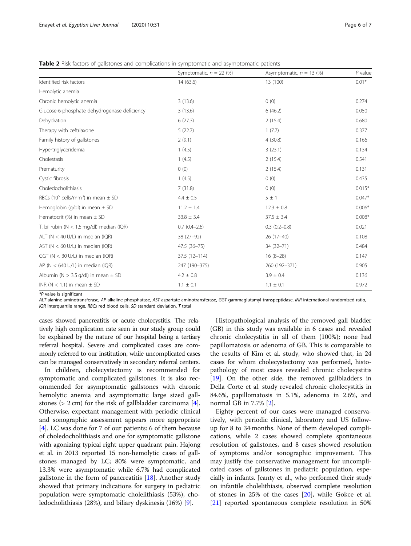<span id="page-5-0"></span>

| <b>Table 2</b> Risk factors of gallstones and complications in symptomatic and asymptomatic patients |  |  |
|------------------------------------------------------------------------------------------------------|--|--|
|                                                                                                      |  |  |

|                                                                | Symptomatic, $n = 22$ (%) | Asymptomatic, $n = 13$ (%) | $P$ value |
|----------------------------------------------------------------|---------------------------|----------------------------|-----------|
| Identified risk factors                                        | 14(63.6)                  | 13 (100)                   | $0.01*$   |
| Hemolytic anemia                                               |                           |                            |           |
| Chronic hemolytic anemia                                       | 3(13.6)                   | 0(0)                       | 0.274     |
| Glucose-6-phosphate dehydrogenase deficiency                   | 3(13.6)                   | 6(46.2)                    | 0.050     |
| Dehydration                                                    | 6(27.3)                   | 2(15.4)                    | 0.680     |
| Therapy with ceftriaxone                                       | 5(22.7)                   | 1(7.7)                     | 0.377     |
| Family history of gallstones                                   | 2(9.1)                    | 4(30.8)                    | 0.166     |
| Hypertriglyceridemia                                           | 1(4.5)                    | 3(23.1)                    | 0.134     |
| Cholestasis                                                    | 1(4.5)                    | 2(15.4)                    | 0.541     |
| Prematurity                                                    | 0(0)                      | 2(15.4)                    | 0.131     |
| Cystic fibrosis                                                | 1(4.5)                    | 0(0)                       | 0.435     |
| Choledocholithiasis                                            | 7(31.8)                   | 0(0)                       | $0.015*$  |
| RBCs (10 <sup>5</sup> cells/mm <sup>3</sup> ) in mean $\pm$ SD | $4.4 \pm 0.5$             | 5±1                        | $0.047*$  |
| Hemoglobin (g/dl) in mean $\pm$ SD                             | $11.2 \pm 1.4$            | $12.3 \pm 0.8$             | $0.006*$  |
| Hematocrit (%) in mean $\pm$ SD                                | $33.8 \pm 3.4$            | $37.5 \pm 3.4$             | $0.008*$  |
| T. bilirubin ( $N < 1.5$ mg/dl) median (IQR)                   | $0.7(0.4-2.6)$            | $0.3(0.2 - 0.8)$           | 0.021     |
| ALT ( $N < 40$ U/L) in median (IQR)                            | 38 (27-92)                | $26(17-40)$                | 0.108     |
| AST ( $N < 60$ U/L) in median (IQR)                            | 47.5 (36-75)              | 34 (32-71)                 | 0.484     |
| GGT ( $N < 30$ U/L) in median (IQR)                            | $37.5(12 - 114)$          | $16(8-28)$                 | 0.147     |
| AP ( $N < 640$ U/L) in median (IQR)                            | 247 (190-375)             | 260 (192-371)              | 0.905     |
| Albumin ( $N > 3.5$ g/dl) in mean $\pm$ SD                     | $4.2 \pm 0.8$             | $3.9 \pm 0.4$              | 0.136     |
| INR ( $N < 1.1$ ) in mean $\pm$ SD                             | $1.1 \pm 0.1$             | $1.1 \pm 0.1$              | 0.972     |

\*P value is significant

ALT alanine aminotransferase, AP alkaline phosphatase, AST aspartate aminotransferase, GGT gammaglutamyl transpeptidase, INR international randomized ratio, IQR interquartile range, RBCs red blood cells, SD standard deviation, T total

cases showed pancreatitis or acute cholecystitis. The relatively high complication rate seen in our study group could be explained by the nature of our hospital being a tertiary referral hospital. Severe and complicated cases are commonly referred to our institution, while uncomplicated cases can be managed conservatively in secondary referral centers.

In children, cholecystectomy is recommended for symptomatic and complicated gallstones. It is also recommended for asymptomatic gallstones with chronic hemolytic anemia and asymptomatic large sized gallstones ( $> 2$  cm) for the risk of gallbladder carcinoma [\[4](#page-6-0)]. Otherwise, expectant management with periodic clinical and sonographic assessment appears more appropriate [[4\]](#page-6-0). LC was done for 7 of our patients: 6 of them because of choledocholithiasis and one for symptomatic gallstone with agonizing typical right upper quadrant pain. Hajong et al. in 2013 reported 15 non-hemolytic cases of gallstones managed by LC; 80% were symptomatic, and 13.3% were asymptomatic while 6.7% had complicated gallstone in the form of pancreatitis [[18](#page-6-0)]. Another study showed that primary indications for surgery in pediatric population were symptomatic cholelithiasis (53%), choledocholithiasis (28%), and biliary dyskinesia (16%) [\[9](#page-6-0)].

Histopathological analysis of the removed gall bladder (GB) in this study was available in 6 cases and revealed chronic cholecystitis in all of them (100%); none had papillomatosis or adenoma of GB. This is comparable to the results of Kim et al. study, who showed that, in 24 cases for whom cholecystectomy was performed, histopathology of most cases revealed chronic cholecystitis [[19\]](#page-6-0). On the other side, the removed gallbladders in Della Corte et al. study revealed chronic cholecystitis in 84.6%, papillomatosis in 5.1%, adenoma in 2.6%, and normal GB in 7.7% [[2\]](#page-6-0).

Eighty percent of our cases were managed conservatively, with periodic clinical, laboratory and US followup for 8 to 34 months. None of them developed complications, while 2 cases showed complete spontaneous resolution of gallstones, and 8 cases showed resolution of symptoms and/or sonographic improvement. This may justify the conservative management for uncomplicated cases of gallstones in pediatric population, especially in infants. Jeanty et al., who performed their study on infantile cholelithiasis, observed complete resolution of stones in 25% of the cases  $[20]$  $[20]$ , while Gokce et al. [[21\]](#page-6-0) reported spontaneous complete resolution in 50%